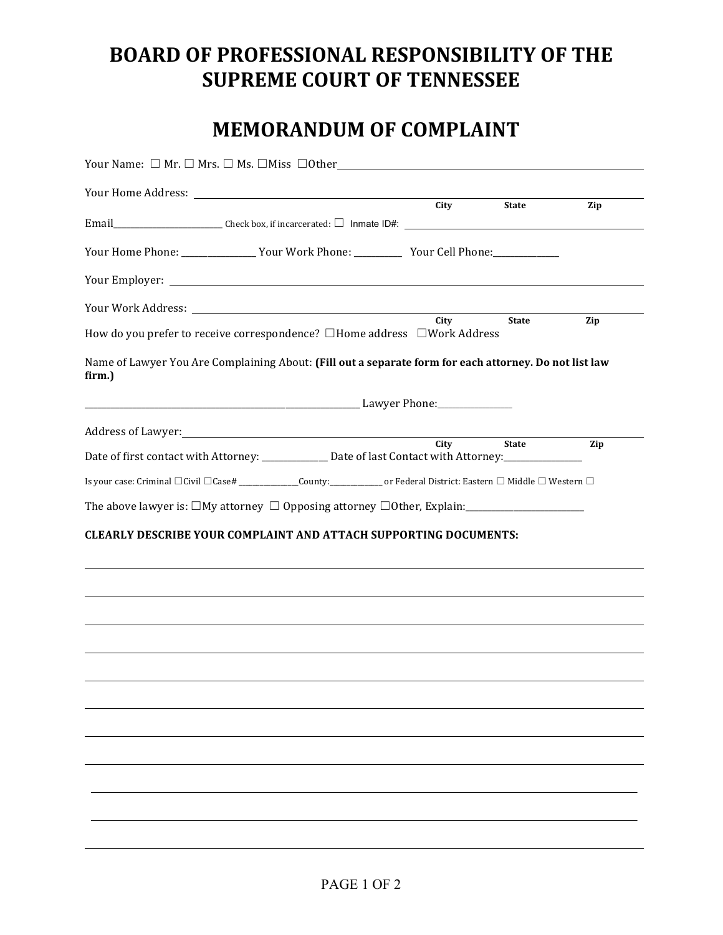# **BOARD OF PROFESSIONAL RESPONSIBILITY OF THE SUPREME COURT OF TENNESSEE**

## **MEMORANDUM OF COMPLAINT**

|        | Your Name: $\square$ Mr. $\square$ Mrs. $\square$ Ms. $\square$ Miss $\square$ Other                                          |      |              |     |
|--------|-------------------------------------------------------------------------------------------------------------------------------|------|--------------|-----|
|        |                                                                                                                               | City | <b>State</b> |     |
|        |                                                                                                                               |      |              | Zip |
|        | Your Home Phone: ________________Your Work Phone: ____________ Your Cell Phone: _____________                                 |      |              |     |
|        |                                                                                                                               |      |              |     |
|        |                                                                                                                               |      |              |     |
|        | How do you prefer to receive correspondence? □Home address □Work Address                                                      | City | <b>State</b> | Zip |
| firm.) | Name of Lawyer You Are Complaining About: (Fill out a separate form for each attorney. Do not list law                        |      |              |     |
|        |                                                                                                                               |      |              |     |
|        |                                                                                                                               | City | <b>State</b> | Zip |
|        | Date of first contact with Attorney: ____________ Date of last Contact with Attorney: _____________                           |      |              |     |
|        | Is your case: Criminal □Civil □Case# _________________County:______________ or Federal District: Eastern □ Middle □ Western □ |      |              |     |
|        |                                                                                                                               |      |              |     |
|        | <b>CLEARLY DESCRIBE YOUR COMPLAINT AND ATTACH SUPPORTING DOCUMENTS:</b>                                                       |      |              |     |
|        |                                                                                                                               |      |              |     |
|        |                                                                                                                               |      |              |     |
|        |                                                                                                                               |      |              |     |
|        |                                                                                                                               |      |              |     |
|        |                                                                                                                               |      |              |     |
|        |                                                                                                                               |      |              |     |
|        |                                                                                                                               |      |              |     |
|        |                                                                                                                               |      |              |     |